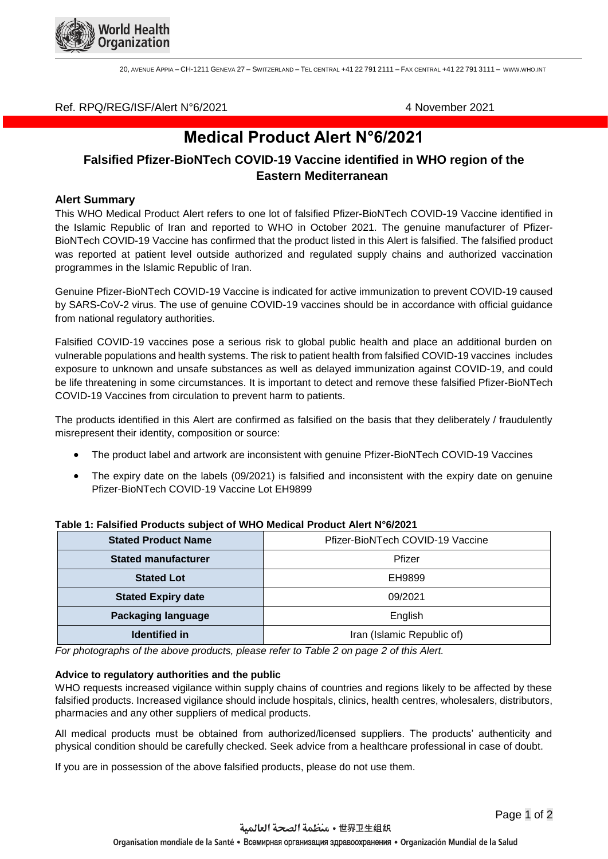

20, AVENUE APPIA – CH-1211 GENEVA 27 – SWITZERLAND – TEL CENTRAL +41 22 791 2111 – FAX CENTRAL +41 22 791 3111 – [WWW](http://www.who.int/).WHO.INT

# Ref. RPQ/REG/ISF/Alert N°6/2021 4 November 2021

# **Medical Product Alert N°6/2021**

# **Falsified Pfizer-BioNTech COVID-19 Vaccine identified in WHO region of the Eastern Mediterranean**

# **Alert Summary**

This WHO Medical Product Alert refers to one lot of falsified Pfizer-BioNTech COVID-19 Vaccine identified in the Islamic Republic of Iran and reported to WHO in October 2021. The genuine manufacturer of Pfizer-BioNTech COVID-19 Vaccine has confirmed that the product listed in this Alert is falsified. The falsified product was reported at patient level outside authorized and regulated supply chains and authorized vaccination programmes in the Islamic Republic of Iran.

Genuine Pfizer-BioNTech COVID-19 Vaccine is indicated for active immunization to prevent COVID-19 caused by SARS-CoV-2 virus. The use of genuine COVID-19 vaccines should be in accordance with official guidance from national regulatory authorities.

Falsified COVID-19 vaccines pose a serious risk to global public health and place an additional burden on vulnerable populations and health systems. The risk to patient health from falsified COVID-19 vaccines includes exposure to unknown and unsafe substances as well as delayed immunization against COVID-19, and could be life threatening in some circumstances. It is important to detect and remove these falsified Pfizer-BioNTech COVID-19 Vaccines from circulation to prevent harm to patients.

The products identified in this Alert are confirmed as falsified on the basis that they deliberately / fraudulently misrepresent their identity, composition or source:

- The product label and artwork are inconsistent with genuine Pfizer-BioNTech COVID-19 Vaccines
- The expiry date on the labels (09/2021) is falsified and inconsistent with the expiry date on genuine Pfizer-BioNTech COVID-19 Vaccine Lot EH9899

| <b>Stated Product Name</b> | Pfizer-BioNTech COVID-19 Vaccine |
|----------------------------|----------------------------------|
| <b>Stated manufacturer</b> | Pfizer                           |
| <b>Stated Lot</b>          | EH9899                           |
| <b>Stated Expiry date</b>  | 09/2021                          |
| <b>Packaging language</b>  | English                          |
| <b>Identified in</b>       | Iran (Islamic Republic of)       |

#### **Table 1: Falsified Products subject of WHO Medical Product Alert N°6/2021**

*For photographs of the above products, please refer to Table 2 on page 2 of this Alert.*

### **Advice to regulatory authorities and the public**

WHO requests increased vigilance within supply chains of countries and regions likely to be affected by these falsified products. Increased vigilance should include hospitals, clinics, health centres, wholesalers, distributors, pharmacies and any other suppliers of medical products.

All medical products must be obtained from authorized/licensed suppliers. The products' authenticity and physical condition should be carefully checked. Seek advice from a healthcare professional in case of doubt.

If you are in possession of the above falsified products, please do not use them.